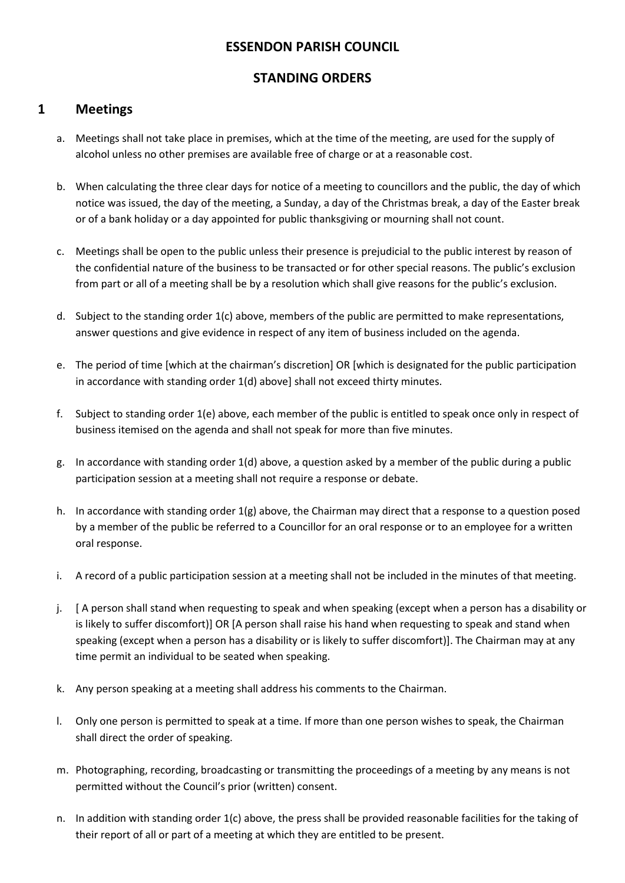## **ESSENDON PARISH COUNCIL**

## **STANDING ORDERS**

### **1 Meetings**

- a. Meetings shall not take place in premises, which at the time of the meeting, are used for the supply of alcohol unless no other premises are available free of charge or at a reasonable cost.
- b. When calculating the three clear days for notice of a meeting to councillors and the public, the day of which notice was issued, the day of the meeting, a Sunday, a day of the Christmas break, a day of the Easter break or of a bank holiday or a day appointed for public thanksgiving or mourning shall not count.
- c. Meetings shall be open to the public unless their presence is prejudicial to the public interest by reason of the confidential nature of the business to be transacted or for other special reasons. The public's exclusion from part or all of a meeting shall be by a resolution which shall give reasons for the public's exclusion.
- d. Subject to the standing order 1(c) above, members of the public are permitted to make representations, answer questions and give evidence in respect of any item of business included on the agenda.
- e. The period of time [which at the chairman's discretion] OR [which is designated for the public participation in accordance with standing order 1(d) above] shall not exceed thirty minutes.
- f. Subject to standing order 1(e) above, each member of the public is entitled to speak once only in respect of business itemised on the agenda and shall not speak for more than five minutes.
- g. In accordance with standing order 1(d) above, a question asked by a member of the public during a public participation session at a meeting shall not require a response or debate.
- h. In accordance with standing order  $1(g)$  above, the Chairman may direct that a response to a question posed by a member of the public be referred to a Councillor for an oral response or to an employee for a written oral response.
- i. A record of a public participation session at a meeting shall not be included in the minutes of that meeting.
- j. [ A person shall stand when requesting to speak and when speaking (except when a person has a disability or is likely to suffer discomfort)] OR [A person shall raise his hand when requesting to speak and stand when speaking (except when a person has a disability or is likely to suffer discomfort)]. The Chairman may at any time permit an individual to be seated when speaking.
- k. Any person speaking at a meeting shall address his comments to the Chairman.
- l. Only one person is permitted to speak at a time. If more than one person wishes to speak, the Chairman shall direct the order of speaking.
- m. Photographing, recording, broadcasting or transmitting the proceedings of a meeting by any means is not permitted without the Council's prior (written) consent.
- n. In addition with standing order 1(c) above, the press shall be provided reasonable facilities for the taking of their report of all or part of a meeting at which they are entitled to be present.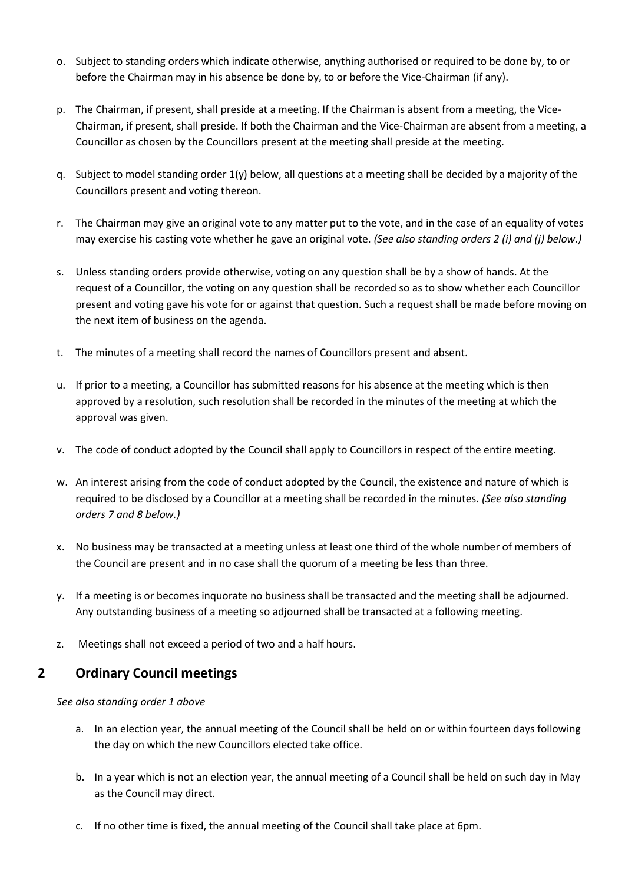- o. Subject to standing orders which indicate otherwise, anything authorised or required to be done by, to or before the Chairman may in his absence be done by, to or before the Vice-Chairman (if any).
- p. The Chairman, if present, shall preside at a meeting. If the Chairman is absent from a meeting, the Vice-Chairman, if present, shall preside. If both the Chairman and the Vice-Chairman are absent from a meeting, a Councillor as chosen by the Councillors present at the meeting shall preside at the meeting.
- q. Subject to model standing order 1(y) below, all questions at a meeting shall be decided by a majority of the Councillors present and voting thereon.
- r. The Chairman may give an original vote to any matter put to the vote, and in the case of an equality of votes may exercise his casting vote whether he gave an original vote. *(See also standing orders 2 (i) and (j) below.)*
- s. Unless standing orders provide otherwise, voting on any question shall be by a show of hands. At the request of a Councillor, the voting on any question shall be recorded so as to show whether each Councillor present and voting gave his vote for or against that question. Such a request shall be made before moving on the next item of business on the agenda.
- t. The minutes of a meeting shall record the names of Councillors present and absent.
- u. If prior to a meeting, a Councillor has submitted reasons for his absence at the meeting which is then approved by a resolution, such resolution shall be recorded in the minutes of the meeting at which the approval was given.
- v. The code of conduct adopted by the Council shall apply to Councillors in respect of the entire meeting.
- w. An interest arising from the code of conduct adopted by the Council, the existence and nature of which is required to be disclosed by a Councillor at a meeting shall be recorded in the minutes. *(See also standing orders 7 and 8 below.)*
- x. No business may be transacted at a meeting unless at least one third of the whole number of members of the Council are present and in no case shall the quorum of a meeting be less than three.
- y. If a meeting is or becomes inquorate no business shall be transacted and the meeting shall be adjourned. Any outstanding business of a meeting so adjourned shall be transacted at a following meeting.
- z. Meetings shall not exceed a period of two and a half hours.

## **2 Ordinary Council meetings**

*See also standing order 1 above*

- a. In an election year, the annual meeting of the Council shall be held on or within fourteen days following the day on which the new Councillors elected take office.
- b. In a year which is not an election year, the annual meeting of a Council shall be held on such day in May as the Council may direct.
- c. If no other time is fixed, the annual meeting of the Council shall take place at 6pm.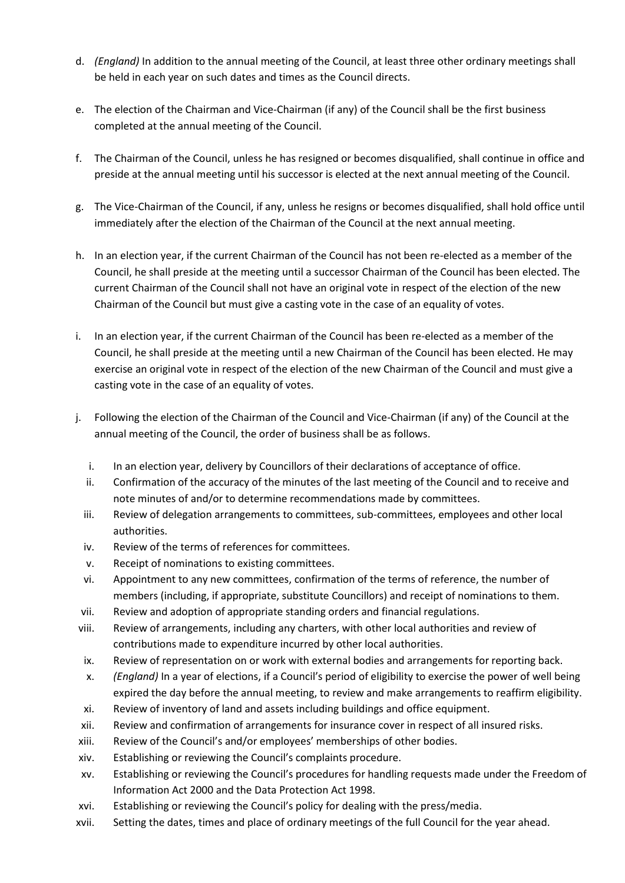- d. *(England)* In addition to the annual meeting of the Council, at least three other ordinary meetings shall be held in each year on such dates and times as the Council directs.
- e. The election of the Chairman and Vice-Chairman (if any) of the Council shall be the first business completed at the annual meeting of the Council.
- f. The Chairman of the Council, unless he has resigned or becomes disqualified, shall continue in office and preside at the annual meeting until his successor is elected at the next annual meeting of the Council.
- g. The Vice-Chairman of the Council, if any, unless he resigns or becomes disqualified, shall hold office until immediately after the election of the Chairman of the Council at the next annual meeting.
- h. In an election year, if the current Chairman of the Council has not been re-elected as a member of the Council, he shall preside at the meeting until a successor Chairman of the Council has been elected. The current Chairman of the Council shall not have an original vote in respect of the election of the new Chairman of the Council but must give a casting vote in the case of an equality of votes.
- i. In an election year, if the current Chairman of the Council has been re-elected as a member of the Council, he shall preside at the meeting until a new Chairman of the Council has been elected. He may exercise an original vote in respect of the election of the new Chairman of the Council and must give a casting vote in the case of an equality of votes.
- j. Following the election of the Chairman of the Council and Vice-Chairman (if any) of the Council at the annual meeting of the Council, the order of business shall be as follows.
	- i. In an election year, delivery by Councillors of their declarations of acceptance of office.
	- ii. Confirmation of the accuracy of the minutes of the last meeting of the Council and to receive and note minutes of and/or to determine recommendations made by committees.
	- iii. Review of delegation arrangements to committees, sub-committees, employees and other local authorities.
	- iv. Review of the terms of references for committees.
	- v. Receipt of nominations to existing committees.
	- vi. Appointment to any new committees, confirmation of the terms of reference, the number of members (including, if appropriate, substitute Councillors) and receipt of nominations to them.
	- vii. Review and adoption of appropriate standing orders and financial regulations.
- viii. Review of arrangements, including any charters, with other local authorities and review of contributions made to expenditure incurred by other local authorities.
- ix. Review of representation on or work with external bodies and arrangements for reporting back.
- x. *(England)* In a year of elections, if a Council's period of eligibility to exercise the power of well being expired the day before the annual meeting, to review and make arrangements to reaffirm eligibility.
- xi. Review of inventory of land and assets including buildings and office equipment.
- xii. Review and confirmation of arrangements for insurance cover in respect of all insured risks.
- xiii. Review of the Council's and/or employees' memberships of other bodies.
- xiv. Establishing or reviewing the Council's complaints procedure.
- xv. Establishing or reviewing the Council's procedures for handling requests made under the Freedom of Information Act 2000 and the Data Protection Act 1998.
- xvi. Establishing or reviewing the Council's policy for dealing with the press/media.
- xvii. Setting the dates, times and place of ordinary meetings of the full Council for the year ahead.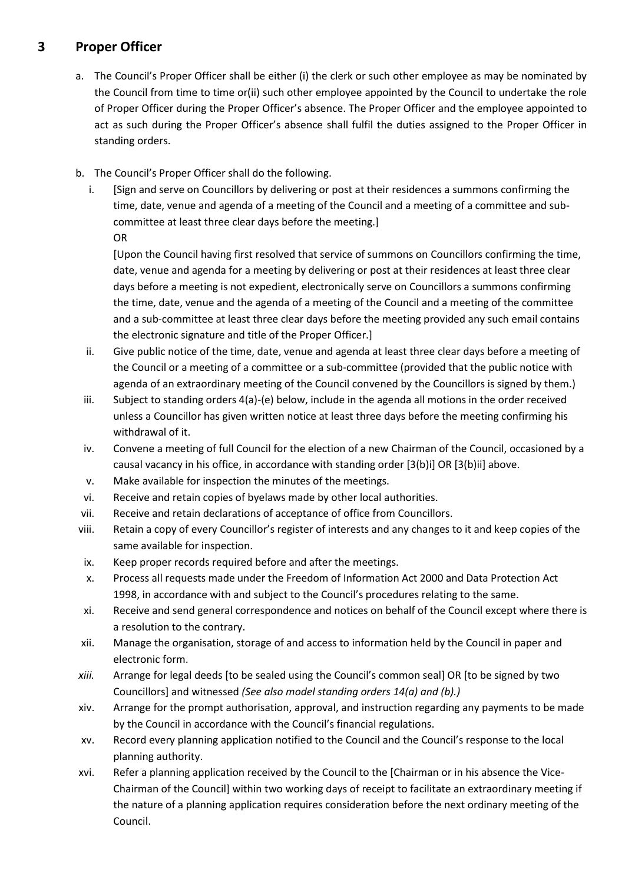## **3 Proper Officer**

- a. The Council's Proper Officer shall be either (i) the clerk or such other employee as may be nominated by the Council from time to time or(ii) such other employee appointed by the Council to undertake the role of Proper Officer during the Proper Officer's absence. The Proper Officer and the employee appointed to act as such during the Proper Officer's absence shall fulfil the duties assigned to the Proper Officer in standing orders.
- b. The Council's Proper Officer shall do the following.
	- i. [Sign and serve on Councillors by delivering or post at their residences a summons confirming the time, date, venue and agenda of a meeting of the Council and a meeting of a committee and subcommittee at least three clear days before the meeting.] OR

[Upon the Council having first resolved that service of summons on Councillors confirming the time, date, venue and agenda for a meeting by delivering or post at their residences at least three clear days before a meeting is not expedient, electronically serve on Councillors a summons confirming the time, date, venue and the agenda of a meeting of the Council and a meeting of the committee and a sub-committee at least three clear days before the meeting provided any such email contains the electronic signature and title of the Proper Officer.]

- ii. Give public notice of the time, date, venue and agenda at least three clear days before a meeting of the Council or a meeting of a committee or a sub-committee (provided that the public notice with agenda of an extraordinary meeting of the Council convened by the Councillors is signed by them.)
- iii. Subject to standing orders 4(a)-(e) below, include in the agenda all motions in the order received unless a Councillor has given written notice at least three days before the meeting confirming his withdrawal of it.
- iv. Convene a meeting of full Council for the election of a new Chairman of the Council, occasioned by a causal vacancy in his office, in accordance with standing order [3(b)i] OR [3(b)ii] above.
- v. Make available for inspection the minutes of the meetings.
- vi. Receive and retain copies of byelaws made by other local authorities.
- vii. Receive and retain declarations of acceptance of office from Councillors.
- viii. Retain a copy of every Councillor's register of interests and any changes to it and keep copies of the same available for inspection.
- ix. Keep proper records required before and after the meetings.
- x. Process all requests made under the Freedom of Information Act 2000 and Data Protection Act 1998, in accordance with and subject to the Council's procedures relating to the same.
- xi. Receive and send general correspondence and notices on behalf of the Council except where there is a resolution to the contrary.
- xii. Manage the organisation, storage of and access to information held by the Council in paper and electronic form.
- *xiii.* Arrange for legal deeds [to be sealed using the Council's common seal] OR [to be signed by two Councillors] and witnessed *(See also model standing orders 14(a) and (b).)*
- xiv. Arrange for the prompt authorisation, approval, and instruction regarding any payments to be made by the Council in accordance with the Council's financial regulations.
- xv. Record every planning application notified to the Council and the Council's response to the local planning authority.
- xvi. Refer a planning application received by the Council to the [Chairman or in his absence the Vice-Chairman of the Council] within two working days of receipt to facilitate an extraordinary meeting if the nature of a planning application requires consideration before the next ordinary meeting of the Council.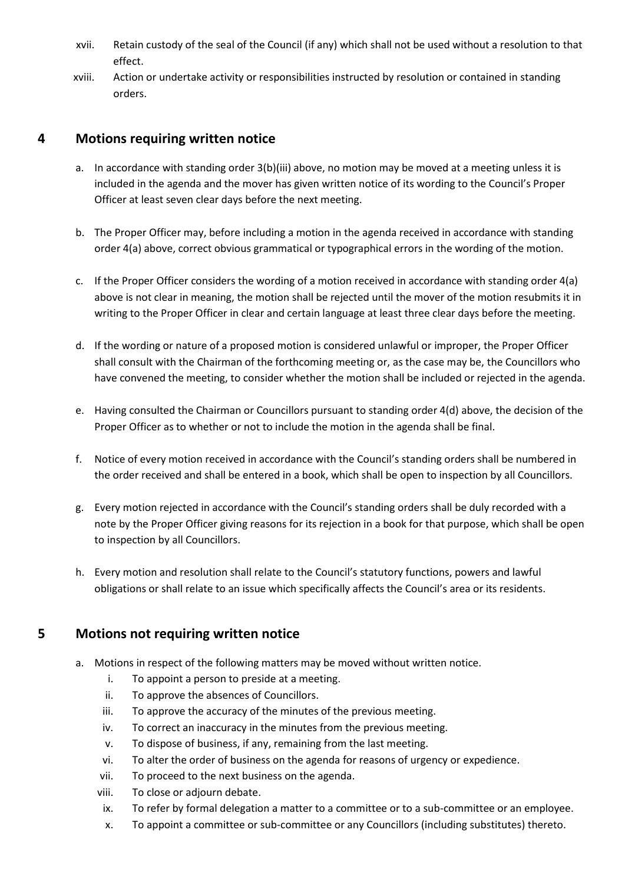- xvii. Retain custody of the seal of the Council (if any) which shall not be used without a resolution to that effect.
- xviii. Action or undertake activity or responsibilities instructed by resolution or contained in standing orders.

## **4 Motions requiring written notice**

- a. In accordance with standing order 3(b)(iii) above, no motion may be moved at a meeting unless it is included in the agenda and the mover has given written notice of its wording to the Council's Proper Officer at least seven clear days before the next meeting.
- b. The Proper Officer may, before including a motion in the agenda received in accordance with standing order 4(a) above, correct obvious grammatical or typographical errors in the wording of the motion.
- c. If the Proper Officer considers the wording of a motion received in accordance with standing order 4(a) above is not clear in meaning, the motion shall be rejected until the mover of the motion resubmits it in writing to the Proper Officer in clear and certain language at least three clear days before the meeting.
- d. If the wording or nature of a proposed motion is considered unlawful or improper, the Proper Officer shall consult with the Chairman of the forthcoming meeting or, as the case may be, the Councillors who have convened the meeting, to consider whether the motion shall be included or rejected in the agenda.
- e. Having consulted the Chairman or Councillors pursuant to standing order 4(d) above, the decision of the Proper Officer as to whether or not to include the motion in the agenda shall be final.
- f. Notice of every motion received in accordance with the Council's standing orders shall be numbered in the order received and shall be entered in a book, which shall be open to inspection by all Councillors.
- g. Every motion rejected in accordance with the Council's standing orders shall be duly recorded with a note by the Proper Officer giving reasons for its rejection in a book for that purpose, which shall be open to inspection by all Councillors.
- h. Every motion and resolution shall relate to the Council's statutory functions, powers and lawful obligations or shall relate to an issue which specifically affects the Council's area or its residents.

## **5 Motions not requiring written notice**

- a. Motions in respect of the following matters may be moved without written notice.
	- i. To appoint a person to preside at a meeting.
	- ii. To approve the absences of Councillors.
	- iii. To approve the accuracy of the minutes of the previous meeting.
	- iv. To correct an inaccuracy in the minutes from the previous meeting.
	- v. To dispose of business, if any, remaining from the last meeting.
	- vi. To alter the order of business on the agenda for reasons of urgency or expedience.
	- vii. To proceed to the next business on the agenda.
	- viii. To close or adjourn debate.
	- ix. To refer by formal delegation a matter to a committee or to a sub-committee or an employee.
	- x. To appoint a committee or sub-committee or any Councillors (including substitutes) thereto.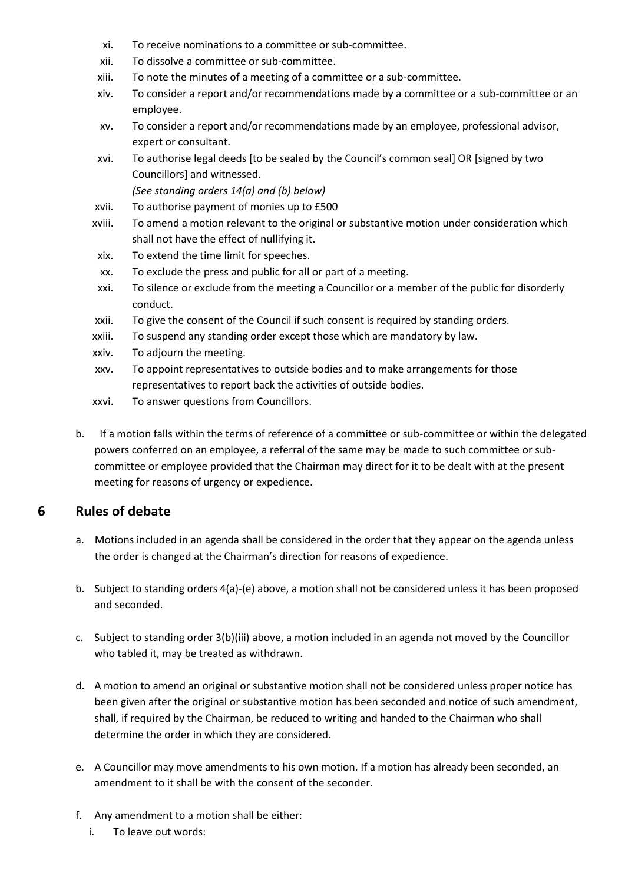- xi. To receive nominations to a committee or sub-committee.
- xii. To dissolve a committee or sub-committee.
- xiii. To note the minutes of a meeting of a committee or a sub-committee.
- xiv. To consider a report and/or recommendations made by a committee or a sub-committee or an employee.
- xv. To consider a report and/or recommendations made by an employee, professional advisor, expert or consultant.
- xvi. To authorise legal deeds [to be sealed by the Council's common seal] OR [signed by two Councillors] and witnessed.

*(See standing orders 14(a) and (b) below)*

- xvii. To authorise payment of monies up to £500
- xviii. To amend a motion relevant to the original or substantive motion under consideration which shall not have the effect of nullifying it.
- xix. To extend the time limit for speeches.
- xx. To exclude the press and public for all or part of a meeting.
- xxi. To silence or exclude from the meeting a Councillor or a member of the public for disorderly conduct.
- xxii. To give the consent of the Council if such consent is required by standing orders.
- xxiii. To suspend any standing order except those which are mandatory by law.
- xxiv. To adjourn the meeting.
- xxv. To appoint representatives to outside bodies and to make arrangements for those representatives to report back the activities of outside bodies.
- xxvi. To answer questions from Councillors.
- b. If a motion falls within the terms of reference of a committee or sub-committee or within the delegated powers conferred on an employee, a referral of the same may be made to such committee or subcommittee or employee provided that the Chairman may direct for it to be dealt with at the present meeting for reasons of urgency or expedience.

## **6 Rules of debate**

- a. Motions included in an agenda shall be considered in the order that they appear on the agenda unless the order is changed at the Chairman's direction for reasons of expedience.
- b. Subject to standing orders 4(a)-(e) above, a motion shall not be considered unless it has been proposed and seconded.
- c. Subject to standing order 3(b)(iii) above, a motion included in an agenda not moved by the Councillor who tabled it, may be treated as withdrawn.
- d. A motion to amend an original or substantive motion shall not be considered unless proper notice has been given after the original or substantive motion has been seconded and notice of such amendment, shall, if required by the Chairman, be reduced to writing and handed to the Chairman who shall determine the order in which they are considered.
- e. A Councillor may move amendments to his own motion. If a motion has already been seconded, an amendment to it shall be with the consent of the seconder.
- f. Any amendment to a motion shall be either:
	- i. To leave out words: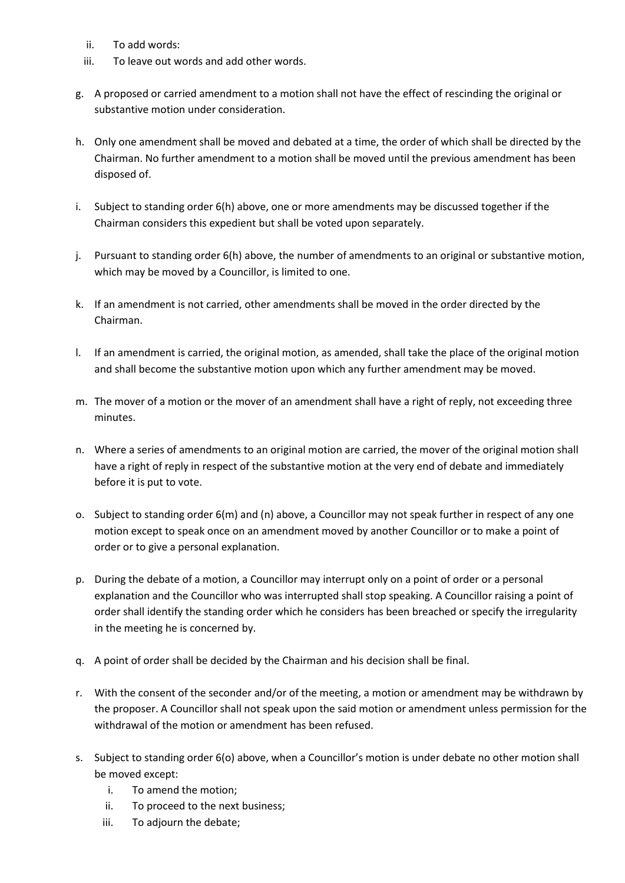- ii. To add words:
- iii. To leave out words and add other words.
- g. A proposed or carried amendment to a motion shall not have the effect of rescinding the original or substantive motion under consideration.
- h. Only one amendment shall be moved and debated at a time, the order of which shall be directed by the Chairman. No further amendment to a motion shall be moved until the previous amendment has been disposed of.
- i. Subject to standing order 6(h) above, one or more amendments may be discussed together if the Chairman considers this expedient but shall be voted upon separately.
- j. Pursuant to standing order 6(h) above, the number of amendments to an original or substantive motion, which may be moved by a Councillor, is limited to one.
- k. If an amendment is not carried, other amendments shall be moved in the order directed by the Chairman.
- l. If an amendment is carried, the original motion, as amended, shall take the place of the original motion and shall become the substantive motion upon which any further amendment may be moved.
- m. The mover of a motion or the mover of an amendment shall have a right of reply, not exceeding three minutes.
- n. Where a series of amendments to an original motion are carried, the mover of the original motion shall have a right of reply in respect of the substantive motion at the very end of debate and immediately before it is put to vote.
- o. Subject to standing order 6(m) and (n) above, a Councillor may not speak further in respect of any one motion except to speak once on an amendment moved by another Councillor or to make a point of order or to give a personal explanation.
- p. During the debate of a motion, a Councillor may interrupt only on a point of order or a personal explanation and the Councillor who was interrupted shall stop speaking. A Councillor raising a point of order shall identify the standing order which he considers has been breached or specify the irregularity in the meeting he is concerned by.
- q. A point of order shall be decided by the Chairman and his decision shall be final.
- r. With the consent of the seconder and/or of the meeting, a motion or amendment may be withdrawn by the proposer. A Councillor shall not speak upon the said motion or amendment unless permission for the withdrawal of the motion or amendment has been refused.
- s. Subject to standing order 6(o) above, when a Councillor's motion is under debate no other motion shall be moved except:
	- i. To amend the motion;
	- ii. To proceed to the next business;
	- iii. To adjourn the debate;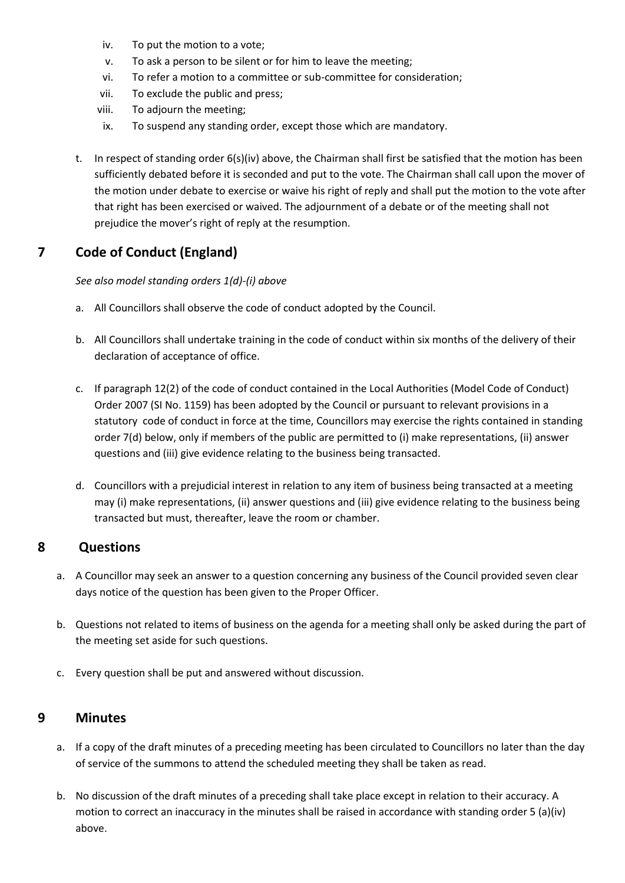- iv. To put the motion to a vote;
- v. To ask a person to be silent or for him to leave the meeting;
- vi. To refer a motion to a committee or sub-committee for consideration;
- vii. To exclude the public and press;
- viii. To adjourn the meeting;
- ix. To suspend any standing order, except those which are mandatory.
- t. In respect of standing order 6(s)(iv) above, the Chairman shall first be satisfied that the motion has been sufficiently debated before it is seconded and put to the vote. The Chairman shall call upon the mover of the motion under debate to exercise or waive his right of reply and shall put the motion to the vote after that right has been exercised or waived. The adjournment of a debate or of the meeting shall not prejudice the mover's right of reply at the resumption.

## **7 Code of Conduct (England)**

#### *See also model standing orders 1(d)-(i) above*

- a. All Councillors shall observe the code of conduct adopted by the Council.
- b. All Councillors shall undertake training in the code of conduct within six months of the delivery of their declaration of acceptance of office.
- c. If paragraph 12(2) of the code of conduct contained in the Local Authorities (Model Code of Conduct) Order 2007 (SI No. 1159) has been adopted by the Council or pursuant to relevant provisions in a statutory code of conduct in force at the time, Councillors may exercise the rights contained in standing order 7(d) below, only if members of the public are permitted to (i) make representations, (ii) answer questions and (iii) give evidence relating to the business being transacted.
- d. Councillors with a prejudicial interest in relation to any item of business being transacted at a meeting may (i) make representations, (ii) answer questions and (iii) give evidence relating to the business being transacted but must, thereafter, leave the room or chamber.

## **8 Questions**

- a. A Councillor may seek an answer to a question concerning any business of the Council provided seven clear days notice of the question has been given to the Proper Officer.
- b. Questions not related to items of business on the agenda for a meeting shall only be asked during the part of the meeting set aside for such questions.
- c. Every question shall be put and answered without discussion.

#### **9 Minutes**

- a. If a copy of the draft minutes of a preceding meeting has been circulated to Councillors no later than the day of service of the summons to attend the scheduled meeting they shall be taken as read.
- b. No discussion of the draft minutes of a preceding shall take place except in relation to their accuracy. A motion to correct an inaccuracy in the minutes shall be raised in accordance with standing order 5 (a)(iv) above.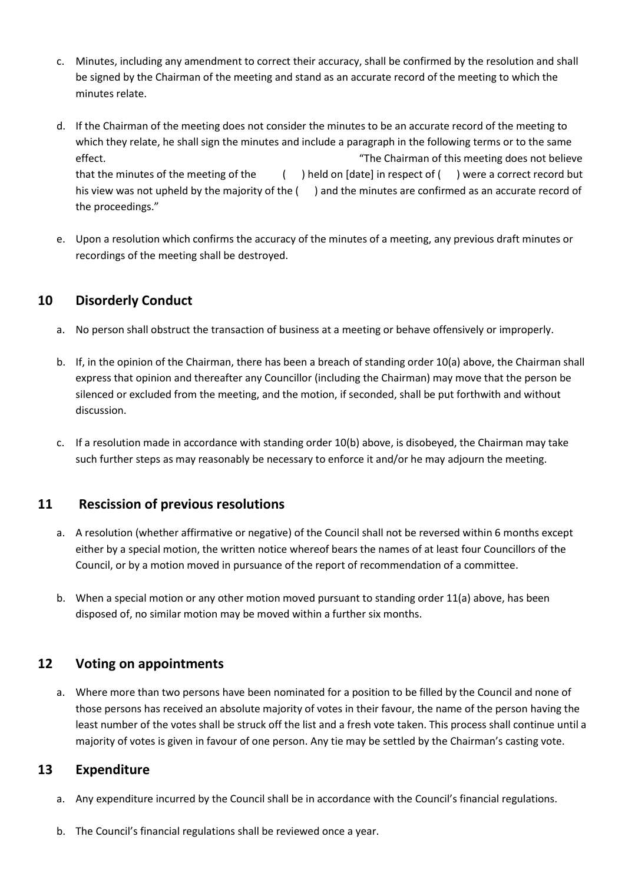- c. Minutes, including any amendment to correct their accuracy, shall be confirmed by the resolution and shall be signed by the Chairman of the meeting and stand as an accurate record of the meeting to which the minutes relate.
- d. If the Chairman of the meeting does not consider the minutes to be an accurate record of the meeting to which they relate, he shall sign the minutes and include a paragraph in the following terms or to the same effect. The Chairman of this meeting does not believe that the minutes of the meeting of the ( ) held on [date] in respect of ( ) were a correct record but his view was not upheld by the majority of the () and the minutes are confirmed as an accurate record of the proceedings."
- e. Upon a resolution which confirms the accuracy of the minutes of a meeting, any previous draft minutes or recordings of the meeting shall be destroyed.

## **10 Disorderly Conduct**

- a. No person shall obstruct the transaction of business at a meeting or behave offensively or improperly.
- b. If, in the opinion of the Chairman, there has been a breach of standing order 10(a) above, the Chairman shall express that opinion and thereafter any Councillor (including the Chairman) may move that the person be silenced or excluded from the meeting, and the motion, if seconded, shall be put forthwith and without discussion.
- c. If a resolution made in accordance with standing order 10(b) above, is disobeyed, the Chairman may take such further steps as may reasonably be necessary to enforce it and/or he may adjourn the meeting.

## **11 Rescission of previous resolutions**

- a. A resolution (whether affirmative or negative) of the Council shall not be reversed within 6 months except either by a special motion, the written notice whereof bears the names of at least four Councillors of the Council, or by a motion moved in pursuance of the report of recommendation of a committee.
- b. When a special motion or any other motion moved pursuant to standing order 11(a) above, has been disposed of, no similar motion may be moved within a further six months.

## **12 Voting on appointments**

a. Where more than two persons have been nominated for a position to be filled by the Council and none of those persons has received an absolute majority of votes in their favour, the name of the person having the least number of the votes shall be struck off the list and a fresh vote taken. This process shall continue until a majority of votes is given in favour of one person. Any tie may be settled by the Chairman's casting vote.

## **13 Expenditure**

- a. Any expenditure incurred by the Council shall be in accordance with the Council's financial regulations.
- b. The Council's financial regulations shall be reviewed once a year.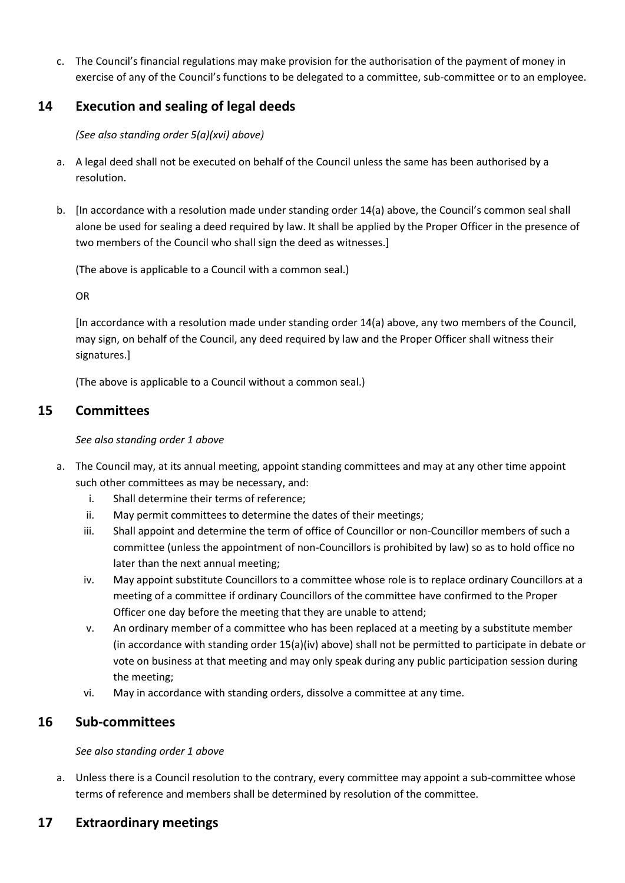c. The Council's financial regulations may make provision for the authorisation of the payment of money in exercise of any of the Council's functions to be delegated to a committee, sub-committee or to an employee.

## **14 Execution and sealing of legal deeds**

*(See also standing order 5(a)(xvi) above)*

- a. A legal deed shall not be executed on behalf of the Council unless the same has been authorised by a resolution.
- b. [In accordance with a resolution made under standing order 14(a) above, the Council's common seal shall alone be used for sealing a deed required by law. It shall be applied by the Proper Officer in the presence of two members of the Council who shall sign the deed as witnesses.]

(The above is applicable to a Council with a common seal.)

OR

[In accordance with a resolution made under standing order 14(a) above, any two members of the Council, may sign, on behalf of the Council, any deed required by law and the Proper Officer shall witness their signatures.]

(The above is applicable to a Council without a common seal.)

## **15 Committees**

#### *See also standing order 1 above*

- a. The Council may, at its annual meeting, appoint standing committees and may at any other time appoint such other committees as may be necessary, and:
	- i. Shall determine their terms of reference;
	- ii. May permit committees to determine the dates of their meetings;
	- iii. Shall appoint and determine the term of office of Councillor or non-Councillor members of such a committee (unless the appointment of non-Councillors is prohibited by law) so as to hold office no later than the next annual meeting;
	- iv. May appoint substitute Councillors to a committee whose role is to replace ordinary Councillors at a meeting of a committee if ordinary Councillors of the committee have confirmed to the Proper Officer one day before the meeting that they are unable to attend;
	- v. An ordinary member of a committee who has been replaced at a meeting by a substitute member (in accordance with standing order 15(a)(iv) above) shall not be permitted to participate in debate or vote on business at that meeting and may only speak during any public participation session during the meeting;
	- vi. May in accordance with standing orders, dissolve a committee at any time.

## **16 Sub-committees**

*See also standing order 1 above*

a. Unless there is a Council resolution to the contrary, every committee may appoint a sub-committee whose terms of reference and members shall be determined by resolution of the committee.

## **17 Extraordinary meetings**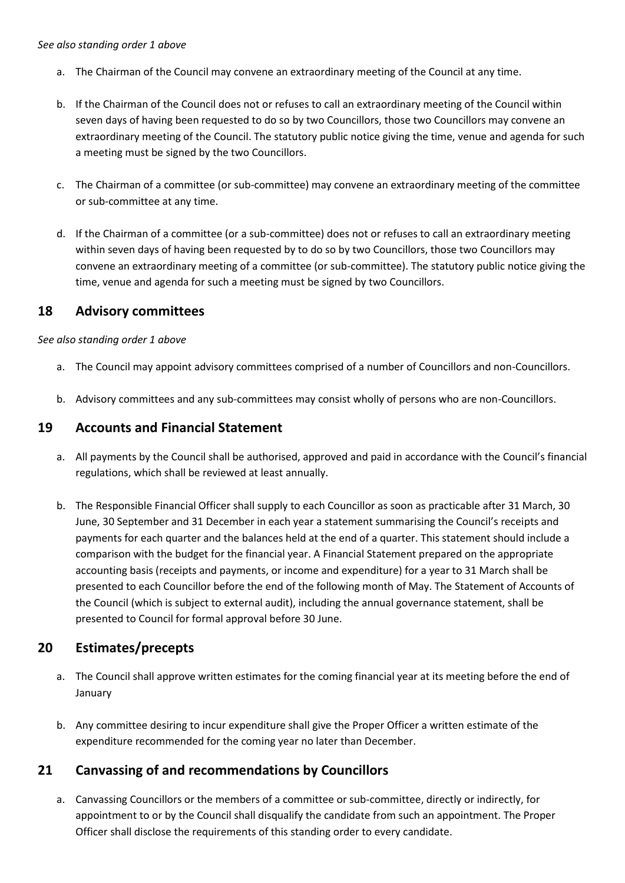#### *See also standing order 1 above*

- a. The Chairman of the Council may convene an extraordinary meeting of the Council at any time.
- b. If the Chairman of the Council does not or refuses to call an extraordinary meeting of the Council within seven days of having been requested to do so by two Councillors, those two Councillors may convene an extraordinary meeting of the Council. The statutory public notice giving the time, venue and agenda for such a meeting must be signed by the two Councillors.
- c. The Chairman of a committee (or sub-committee) may convene an extraordinary meeting of the committee or sub-committee at any time.
- d. If the Chairman of a committee (or a sub-committee) does not or refuses to call an extraordinary meeting within seven days of having been requested by to do so by two Councillors, those two Councillors may convene an extraordinary meeting of a committee (or sub-committee). The statutory public notice giving the time, venue and agenda for such a meeting must be signed by two Councillors.

#### **18 Advisory committees**

*See also standing order 1 above*

- a. The Council may appoint advisory committees comprised of a number of Councillors and non-Councillors.
- b. Advisory committees and any sub-committees may consist wholly of persons who are non-Councillors.

#### **19 Accounts and Financial Statement**

- a. All payments by the Council shall be authorised, approved and paid in accordance with the Council's financial regulations, which shall be reviewed at least annually.
- b. The Responsible Financial Officer shall supply to each Councillor as soon as practicable after 31 March, 30 June, 30 September and 31 December in each year a statement summarising the Council's receipts and payments for each quarter and the balances held at the end of a quarter. This statement should include a comparison with the budget for the financial year. A Financial Statement prepared on the appropriate accounting basis (receipts and payments, or income and expenditure) for a year to 31 March shall be presented to each Councillor before the end of the following month of May. The Statement of Accounts of the Council (which is subject to external audit), including the annual governance statement, shall be presented to Council for formal approval before 30 June.

## **20 Estimates/precepts**

- a. The Council shall approve written estimates for the coming financial year at its meeting before the end of January
- b. Any committee desiring to incur expenditure shall give the Proper Officer a written estimate of the expenditure recommended for the coming year no later than December.

## **21 Canvassing of and recommendations by Councillors**

a. Canvassing Councillors or the members of a committee or sub-committee, directly or indirectly, for appointment to or by the Council shall disqualify the candidate from such an appointment. The Proper Officer shall disclose the requirements of this standing order to every candidate.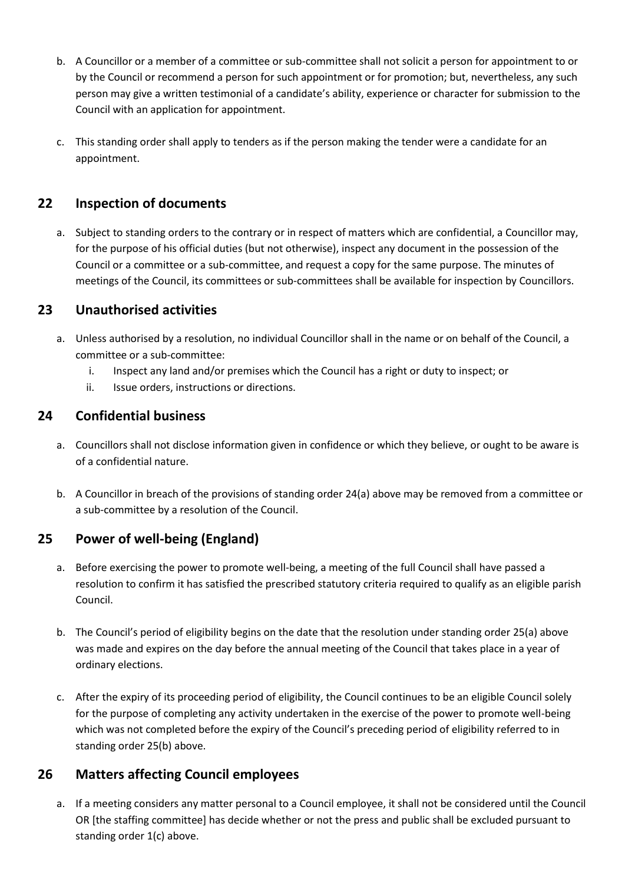- b. A Councillor or a member of a committee or sub-committee shall not solicit a person for appointment to or by the Council or recommend a person for such appointment or for promotion; but, nevertheless, any such person may give a written testimonial of a candidate's ability, experience or character for submission to the Council with an application for appointment.
- c. This standing order shall apply to tenders as if the person making the tender were a candidate for an appointment.

## **22 Inspection of documents**

a. Subject to standing orders to the contrary or in respect of matters which are confidential, a Councillor may, for the purpose of his official duties (but not otherwise), inspect any document in the possession of the Council or a committee or a sub-committee, and request a copy for the same purpose. The minutes of meetings of the Council, its committees or sub-committees shall be available for inspection by Councillors.

## **23 Unauthorised activities**

- a. Unless authorised by a resolution, no individual Councillor shall in the name or on behalf of the Council, a committee or a sub-committee:
	- i. Inspect any land and/or premises which the Council has a right or duty to inspect; or
	- ii. Issue orders, instructions or directions.

## **24 Confidential business**

- a. Councillors shall not disclose information given in confidence or which they believe, or ought to be aware is of a confidential nature.
- b. A Councillor in breach of the provisions of standing order 24(a) above may be removed from a committee or a sub-committee by a resolution of the Council.

## **25 Power of well-being (England)**

- a. Before exercising the power to promote well-being, a meeting of the full Council shall have passed a resolution to confirm it has satisfied the prescribed statutory criteria required to qualify as an eligible parish Council.
- b. The Council's period of eligibility begins on the date that the resolution under standing order 25(a) above was made and expires on the day before the annual meeting of the Council that takes place in a year of ordinary elections.
- c. After the expiry of its proceeding period of eligibility, the Council continues to be an eligible Council solely for the purpose of completing any activity undertaken in the exercise of the power to promote well-being which was not completed before the expiry of the Council's preceding period of eligibility referred to in standing order 25(b) above.

## **26 Matters affecting Council employees**

a. If a meeting considers any matter personal to a Council employee, it shall not be considered until the Council OR [the staffing committee] has decide whether or not the press and public shall be excluded pursuant to standing order 1(c) above.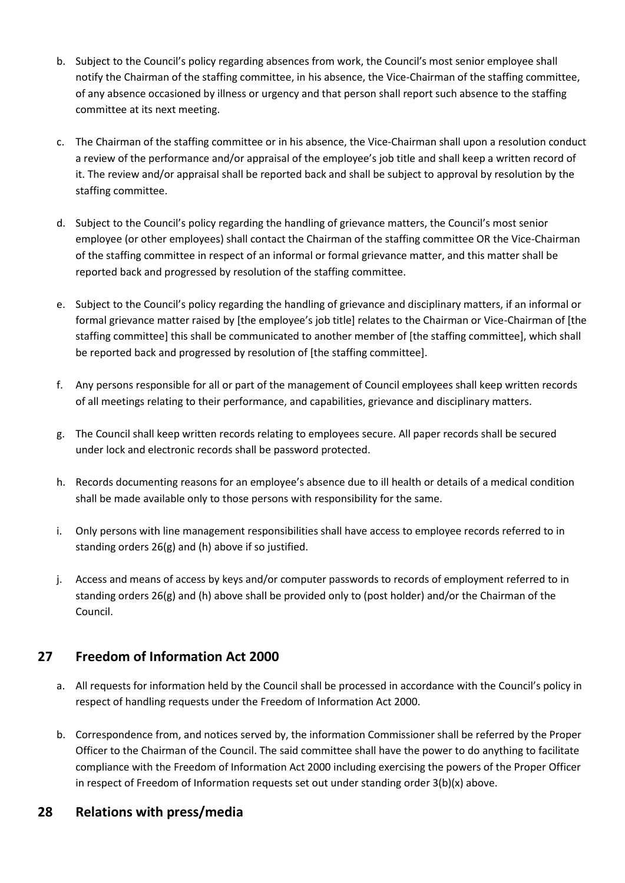- b. Subject to the Council's policy regarding absences from work, the Council's most senior employee shall notify the Chairman of the staffing committee, in his absence, the Vice-Chairman of the staffing committee, of any absence occasioned by illness or urgency and that person shall report such absence to the staffing committee at its next meeting.
- c. The Chairman of the staffing committee or in his absence, the Vice-Chairman shall upon a resolution conduct a review of the performance and/or appraisal of the employee's job title and shall keep a written record of it. The review and/or appraisal shall be reported back and shall be subject to approval by resolution by the staffing committee.
- d. Subject to the Council's policy regarding the handling of grievance matters, the Council's most senior employee (or other employees) shall contact the Chairman of the staffing committee OR the Vice-Chairman of the staffing committee in respect of an informal or formal grievance matter, and this matter shall be reported back and progressed by resolution of the staffing committee.
- e. Subject to the Council's policy regarding the handling of grievance and disciplinary matters, if an informal or formal grievance matter raised by [the employee's job title] relates to the Chairman or Vice-Chairman of [the staffing committee] this shall be communicated to another member of [the staffing committee], which shall be reported back and progressed by resolution of [the staffing committee].
- f. Any persons responsible for all or part of the management of Council employees shall keep written records of all meetings relating to their performance, and capabilities, grievance and disciplinary matters.
- g. The Council shall keep written records relating to employees secure. All paper records shall be secured under lock and electronic records shall be password protected.
- h. Records documenting reasons for an employee's absence due to ill health or details of a medical condition shall be made available only to those persons with responsibility for the same.
- i. Only persons with line management responsibilities shall have access to employee records referred to in standing orders 26(g) and (h) above if so justified.
- j. Access and means of access by keys and/or computer passwords to records of employment referred to in standing orders 26(g) and (h) above shall be provided only to (post holder) and/or the Chairman of the Council.

## **27 Freedom of Information Act 2000**

- a. All requests for information held by the Council shall be processed in accordance with the Council's policy in respect of handling requests under the Freedom of Information Act 2000.
- b. Correspondence from, and notices served by, the information Commissioner shall be referred by the Proper Officer to the Chairman of the Council. The said committee shall have the power to do anything to facilitate compliance with the Freedom of Information Act 2000 including exercising the powers of the Proper Officer in respect of Freedom of Information requests set out under standing order 3(b)(x) above.

## **28 Relations with press/media**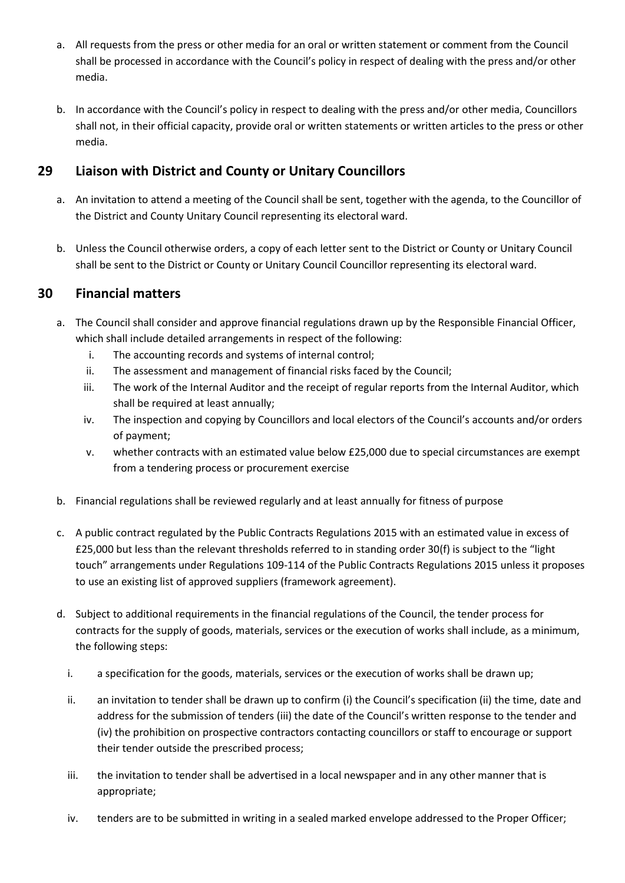- a. All requests from the press or other media for an oral or written statement or comment from the Council shall be processed in accordance with the Council's policy in respect of dealing with the press and/or other media.
- b. In accordance with the Council's policy in respect to dealing with the press and/or other media, Councillors shall not, in their official capacity, provide oral or written statements or written articles to the press or other media.

## **29 Liaison with District and County or Unitary Councillors**

- a. An invitation to attend a meeting of the Council shall be sent, together with the agenda, to the Councillor of the District and County Unitary Council representing its electoral ward.
- b. Unless the Council otherwise orders, a copy of each letter sent to the District or County or Unitary Council shall be sent to the District or County or Unitary Council Councillor representing its electoral ward.

## **30 Financial matters**

- a. The Council shall consider and approve financial regulations drawn up by the Responsible Financial Officer, which shall include detailed arrangements in respect of the following:
	- i. The accounting records and systems of internal control;
	- ii. The assessment and management of financial risks faced by the Council;
	- iii. The work of the Internal Auditor and the receipt of regular reports from the Internal Auditor, which shall be required at least annually;
	- iv. The inspection and copying by Councillors and local electors of the Council's accounts and/or orders of payment;
	- v. whether contracts with an estimated value below £25,000 due to special circumstances are exempt from a tendering process or procurement exercise
- b. Financial regulations shall be reviewed regularly and at least annually for fitness of purpose
- c. A public contract regulated by the Public Contracts Regulations 2015 with an estimated value in excess of £25,000 but less than the relevant thresholds referred to in standing order 30(f) is subject to the "light touch" arrangements under Regulations 109-114 of the Public Contracts Regulations 2015 unless it proposes to use an existing list of approved suppliers (framework agreement).
- d. Subject to additional requirements in the financial regulations of the Council, the tender process for contracts for the supply of goods, materials, services or the execution of works shall include, as a minimum, the following steps:
	- i. a specification for the goods, materials, services or the execution of works shall be drawn up;
	- ii. an invitation to tender shall be drawn up to confirm (i) the Council's specification (ii) the time, date and address for the submission of tenders (iii) the date of the Council's written response to the tender and (iv) the prohibition on prospective contractors contacting councillors or staff to encourage or support their tender outside the prescribed process;
	- iii. the invitation to tender shall be advertised in a local newspaper and in any other manner that is appropriate;
	- iv. tenders are to be submitted in writing in a sealed marked envelope addressed to the Proper Officer;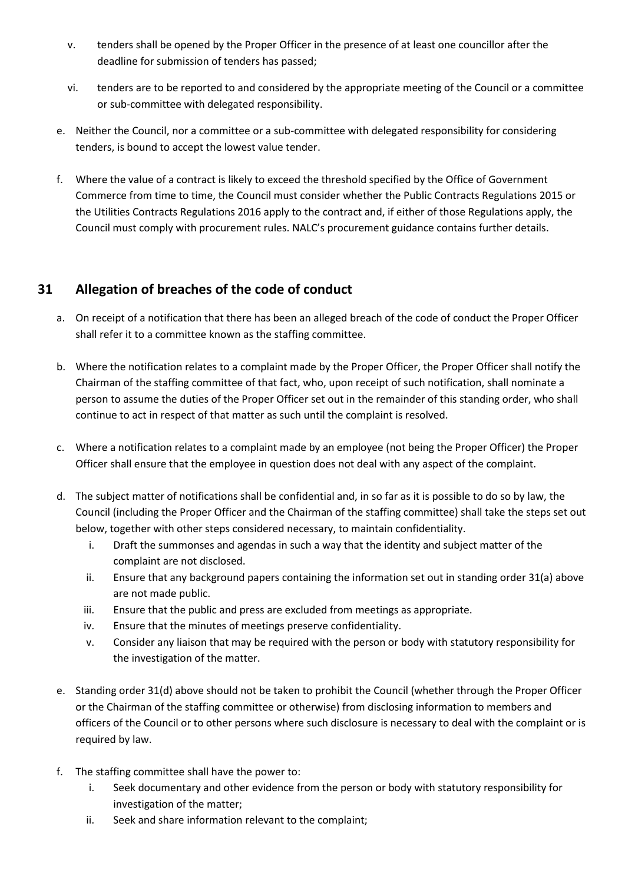- v. tenders shall be opened by the Proper Officer in the presence of at least one councillor after the deadline for submission of tenders has passed;
- vi. tenders are to be reported to and considered by the appropriate meeting of the Council or a committee or sub-committee with delegated responsibility.
- e. Neither the Council, nor a committee or a sub-committee with delegated responsibility for considering tenders, is bound to accept the lowest value tender.
- f. Where the value of a contract is likely to exceed the threshold specified by the Office of Government Commerce from time to time, the Council must consider whether the Public Contracts Regulations 2015 or the Utilities Contracts Regulations 2016 apply to the contract and, if either of those Regulations apply, the Council must comply with procurement rules. NALC's procurement guidance contains further details.

## **31 Allegation of breaches of the code of conduct**

- a. On receipt of a notification that there has been an alleged breach of the code of conduct the Proper Officer shall refer it to a committee known as the staffing committee.
- b. Where the notification relates to a complaint made by the Proper Officer, the Proper Officer shall notify the Chairman of the staffing committee of that fact, who, upon receipt of such notification, shall nominate a person to assume the duties of the Proper Officer set out in the remainder of this standing order, who shall continue to act in respect of that matter as such until the complaint is resolved.
- c. Where a notification relates to a complaint made by an employee (not being the Proper Officer) the Proper Officer shall ensure that the employee in question does not deal with any aspect of the complaint.
- d. The subject matter of notifications shall be confidential and, in so far as it is possible to do so by law, the Council (including the Proper Officer and the Chairman of the staffing committee) shall take the steps set out below, together with other steps considered necessary, to maintain confidentiality.
	- i. Draft the summonses and agendas in such a way that the identity and subject matter of the complaint are not disclosed.
	- ii. Ensure that any background papers containing the information set out in standing order 31(a) above are not made public.
	- iii. Ensure that the public and press are excluded from meetings as appropriate.
	- iv. Ensure that the minutes of meetings preserve confidentiality.
	- v. Consider any liaison that may be required with the person or body with statutory responsibility for the investigation of the matter.
- e. Standing order 31(d) above should not be taken to prohibit the Council (whether through the Proper Officer or the Chairman of the staffing committee or otherwise) from disclosing information to members and officers of the Council or to other persons where such disclosure is necessary to deal with the complaint or is required by law.
- f. The staffing committee shall have the power to:
	- i. Seek documentary and other evidence from the person or body with statutory responsibility for investigation of the matter;
	- ii. Seek and share information relevant to the complaint;